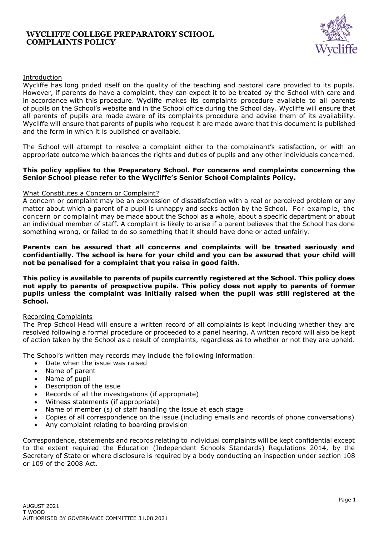## **WYCLIFFE COLLEGE PREPARATORY SCHOOL COMPLAINTS POLICY**



## Introduction

Wycliffe has long prided itself on the quality of the teaching and pastoral care provided to its pupils. However, if parents do have a complaint, they can expect it to be treated by the School with care and in accordance with this procedure. Wycliffe makes its complaints procedure available to all parents of pupils on the School's website and in the School office during the School day. Wycliffe will ensure that all parents of pupils are made aware of its complaints procedure and advise them of its availability. Wycliffe will ensure that parents of pupils who request it are made aware that this document is published and the form in which it is published or available.

The School will attempt to resolve a complaint either to the complainant's satisfaction, or with an appropriate outcome which balances the rights and duties of pupils and any other individuals concerned.

#### **This policy applies to the Preparatory School. For concerns and complaints concerning the Senior School please refer to the Wycliffe's Senior School Complaints Policy.**

### What Constitutes a Concern or Complaint?

A concern or complaint may be an expression of dissatisfaction with a real or perceived problem or any matter about which a parent of a pupil is unhappy and seeks action by the School. For example, the concern or complaint may be made about the School as a whole, about a specific department or about an individual member of staff. A complaint is likely to arise if a parent believes that the School has done something wrong, or failed to do so something that it should have done or acted unfairly.

#### **Parents can be assured that all concerns and complaints will be treated seriously and confidentially. The school is here for your child and you can be assured that your child will not be penalised for a complaint that you raise in good faith.**

**This policy is available to parents of pupils currently registered at the School. This policy does not apply to parents of prospective pupils. This policy does not apply to parents of former pupils unless the complaint was initially raised when the pupil was still registered at the School.**

### Recording Complaints

The Prep School Head will ensure a written record of all complaints is kept including whether they are resolved following a formal procedure or proceeded to a panel hearing. A written record will also be kept of action taken by the School as a result of complaints, regardless as to whether or not they are upheld.

The School's written may records may include the following information:

- Date when the issue was raised
- Name of parent
- Name of pupil
- Description of the issue
- Records of all the investigations (if appropriate)
- Witness statements (if appropriate)
- Name of member (s) of staff handling the issue at each stage
- Copies of all correspondence on the issue (including emails and records of phone conversations)
- Any complaint relating to boarding provision

Correspondence, statements and records relating to individual complaints will be kept confidential except to the extent required the Education (Independent Schools Standards) Regulations 2014, by the Secretary of State or where disclosure is required by a body conducting an inspection under section 108 or 109 of the 2008 Act.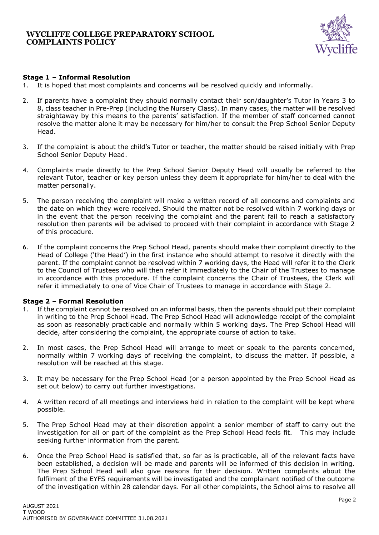

# **Stage 1 – Informal Resolution**

- 1. It is hoped that most complaints and concerns will be resolved quickly and informally.
- 2. If parents have a complaint they should normally contact their son/daughter's Tutor in Years 3 to 8, class teacher in Pre-Prep (including the Nursery Class). In many cases, the matter will be resolved straightaway by this means to the parents' satisfaction. If the member of staff concerned cannot resolve the matter alone it may be necessary for him/her to consult the Prep School Senior Deputy Head.
- 3. If the complaint is about the child's Tutor or teacher, the matter should be raised initially with Prep School Senior Deputy Head.
- 4. Complaints made directly to the Prep School Senior Deputy Head will usually be referred to the relevant Tutor, teacher or key person unless they deem it appropriate for him/her to deal with the matter personally.
- 5. The person receiving the complaint will make a written record of all concerns and complaints and the date on which they were received. Should the matter not be resolved within 7 working days or in the event that the person receiving the complaint and the parent fail to reach a satisfactory resolution then parents will be advised to proceed with their complaint in accordance with Stage 2 of this procedure.
- 6. If the complaint concerns the Prep School Head, parents should make their complaint directly to the Head of College ('the Head') in the first instance who should attempt to resolve it directly with the parent. If the complaint cannot be resolved within 7 working days, the Head will refer it to the Clerk to the Council of Trustees who will then refer it immediately to the Chair of the Trustees to manage in accordance with this procedure. If the complaint concerns the Chair of Trustees, the Clerk will refer it immediately to one of Vice Chair of Trustees to manage in accordance with Stage 2.

# **Stage 2 – Formal Resolution**

- 1. If the complaint cannot be resolved on an informal basis, then the parents should put their complaint in writing to the Prep School Head. The Prep School Head will acknowledge receipt of the complaint as soon as reasonably practicable and normally within 5 working days. The Prep School Head will decide, after considering the complaint, the appropriate course of action to take.
- 2. In most cases, the Prep School Head will arrange to meet or speak to the parents concerned, normally within 7 working days of receiving the complaint, to discuss the matter. If possible, a resolution will be reached at this stage.
- 3. It may be necessary for the Prep School Head (or a person appointed by the Prep School Head as set out below) to carry out further investigations.
- 4. A written record of all meetings and interviews held in relation to the complaint will be kept where possible.
- 5. The Prep School Head may at their discretion appoint a senior member of staff to carry out the investigation for all or part of the complaint as the Prep School Head feels fit. This may include seeking further information from the parent.
- 6. Once the Prep School Head is satisfied that, so far as is practicable, all of the relevant facts have been established, a decision will be made and parents will be informed of this decision in writing. The Prep School Head will also give reasons for their decision. Written complaints about the fulfilment of the EYFS requirements will be investigated and the complainant notified of the outcome of the investigation within 28 calendar days. For all other complaints, the School aims to resolve all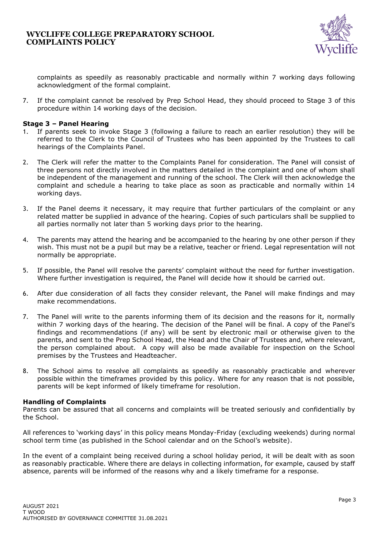

complaints as speedily as reasonably practicable and normally within 7 working days following acknowledgment of the formal complaint.

7. If the complaint cannot be resolved by Prep School Head, they should proceed to Stage 3 of this procedure within 14 working days of the decision.

### **Stage 3 – Panel Hearing**

- If parents seek to invoke Stage 3 (following a failure to reach an earlier resolution) they will be referred to the Clerk to the Council of Trustees who has been appointed by the Trustees to call hearings of the Complaints Panel.
- 2. The Clerk will refer the matter to the Complaints Panel for consideration. The Panel will consist of three persons not directly involved in the matters detailed in the complaint and one of whom shall be independent of the management and running of the school. The Clerk will then acknowledge the complaint and schedule a hearing to take place as soon as practicable and normally within 14 working days.
- 3. If the Panel deems it necessary, it may require that further particulars of the complaint or any related matter be supplied in advance of the hearing. Copies of such particulars shall be supplied to all parties normally not later than 5 working days prior to the hearing.
- 4. The parents may attend the hearing and be accompanied to the hearing by one other person if they wish. This must not be a pupil but may be a relative, teacher or friend. Legal representation will not normally be appropriate.
- 5. If possible, the Panel will resolve the parents' complaint without the need for further investigation. Where further investigation is required, the Panel will decide how it should be carried out.
- 6. After due consideration of all facts they consider relevant, the Panel will make findings and may make recommendations.
- 7. The Panel will write to the parents informing them of its decision and the reasons for it, normally within 7 working days of the hearing. The decision of the Panel will be final. A copy of the Panel's findings and recommendations (if any) will be sent by electronic mail or otherwise given to the parents, and sent to the Prep School Head, the Head and the Chair of Trustees and, where relevant, the person complained about. A copy will also be made available for inspection on the School premises by the Trustees and Headteacher.
- 8. The School aims to resolve all complaints as speedily as reasonably practicable and wherever possible within the timeframes provided by this policy. Where for any reason that is not possible, parents will be kept informed of likely timeframe for resolution.

### **Handling of Complaints**

Parents can be assured that all concerns and complaints will be treated seriously and confidentially by the School.

All references to 'working days' in this policy means Monday-Friday (excluding weekends) during normal school term time (as published in the School calendar and on the School's website).

In the event of a complaint being received during a school holiday period, it will be dealt with as soon as reasonably practicable. Where there are delays in collecting information, for example, caused by staff absence, parents will be informed of the reasons why and a likely timeframe for a response.